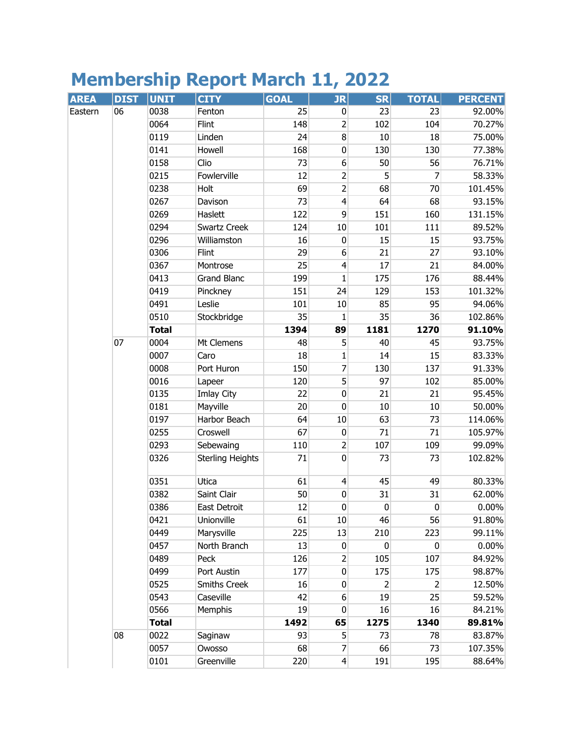## **Membership Report March 11, 2022**

| <b>AREA</b> | <b>DIST</b> | <b>UNIT</b>  | <b>CITY</b>             | <b>GOAL</b> | JR                      | <b>SR</b>      | <b>TOTAL</b>   | <b>PERCENT</b> |
|-------------|-------------|--------------|-------------------------|-------------|-------------------------|----------------|----------------|----------------|
| Eastern     | 06          | 0038         | Fenton                  | 25          | $\pmb{0}$               | 23             | 23             | 92.00%         |
|             |             | 0064         | Flint                   | 148         | $\overline{c}$          | 102            | 104            | 70.27%         |
|             |             | 0119         | Linden                  | 24          | $\bf 8$                 | 10             | 18             | 75.00%         |
|             |             | 0141         | Howell                  | 168         | $\pmb{0}$               | 130            | 130            | 77.38%         |
|             |             | 0158         | Clio                    | 73          | $\sqrt{6}$              | 50             | 56             | 76.71%         |
|             |             | 0215         | Fowlerville             | 12          | 2                       | 5              | 7              | 58.33%         |
|             |             | 0238         | Holt                    | 69          | $\overline{2}$          | 68             | 70             | 101.45%        |
|             |             | 0267         | Davison                 | 73          | $\overline{4}$          | 64             | 68             | 93.15%         |
|             |             | 0269         | Haslett                 | 122         | $\overline{9}$          | 151            | 160            | 131.15%        |
|             |             | 0294         | Swartz Creek            | 124         | 10                      | 101            | 111            | 89.52%         |
|             |             | 0296         | Williamston             | 16          | $\pmb{0}$               | 15             | 15             | 93.75%         |
|             |             | 0306         | Flint                   | 29          | $\boldsymbol{6}$        | 21             | 27             | 93.10%         |
|             |             | 0367         | Montrose                | 25          | $\overline{\mathbf{4}}$ | 17             | 21             | 84.00%         |
|             |             | 0413         | <b>Grand Blanc</b>      | 199         | $\mathbf{1}$            | 175            | 176            | 88.44%         |
|             |             | 0419         | Pinckney                | 151         | 24                      | 129            | 153            | 101.32%        |
|             |             | 0491         | Leslie                  | 101         | 10                      | 85             | 95             | 94.06%         |
|             |             | 0510         | Stockbridge             | 35          | 1                       | 35             | 36             | 102.86%        |
|             |             | <b>Total</b> |                         | 1394        | 89                      | 1181           | 1270           | 91.10%         |
|             | 07          | 0004         | Mt Clemens              | 48          | 5                       | 40             | 45             | 93.75%         |
|             |             | 0007         | Caro                    | 18          | 1                       | 14             | 15             | 83.33%         |
|             |             | 0008         | Port Huron              | 150         | $\overline{7}$          | 130            | 137            | 91.33%         |
|             |             | 0016         | Lapeer                  | 120         | 5                       | 97             | 102            | 85.00%         |
|             |             | 0135         | Imlay City              | 22          | $\pmb{0}$               | 21             | 21             | 95.45%         |
|             |             | 0181         | Mayville                | 20          | $\mathbf 0$             | 10             | 10             | 50.00%         |
|             |             | 0197         | Harbor Beach            | 64          | 10                      | 63             | 73             | 114.06%        |
|             |             | 0255         | Croswell                | 67          | $\pmb{0}$               | 71             | 71             | 105.97%        |
|             |             | 0293         | Sebewaing               | 110         | $\overline{2}$          | 107            | 109            | 99.09%         |
|             |             | 0326         | <b>Sterling Heights</b> | 71          | $\mathbf 0$             | 73             | 73             | 102.82%        |
|             |             | 0351         | Utica                   | 61          | $\overline{4}$          | 45             | 49             | 80.33%         |
|             |             | 0382         | Saint Clair             | 50          | $\pmb{0}$               | 31             | 31             | 62.00%         |
|             |             | 0386         | East Detroit            | 12          | $\overline{0}$          | $\pmb{0}$      | $\mathbf 0$    | 0.00%          |
|             |             | 0421         | Unionville              | 61          | 10                      | 46             | 56             | 91.80%         |
|             |             | 0449         | Marysville              | 225         | 13                      | 210            | 223            | 99.11%         |
|             |             | 0457         | North Branch            | 13          | $\pmb{0}$               | $\pmb{0}$      | $\pmb{0}$      | 0.00%          |
|             |             | 0489         | Peck                    | 126         | 2                       | 105            | 107            | 84.92%         |
|             |             | 0499         | Port Austin             | 177         | $\overline{0}$          | 175            | 175            | 98.87%         |
|             |             | 0525         | Smiths Creek            | 16          | $\pmb{0}$               | $\overline{2}$ | $\overline{2}$ | 12.50%         |
|             |             | 0543         | Caseville               | 42          | 6                       | 19             | 25             | 59.52%         |
|             |             | 0566         | Memphis                 | 19          | 0                       | 16             | 16             | 84.21%         |
|             |             | <b>Total</b> |                         | 1492        | 65                      | 1275           | 1340           | 89.81%         |
|             | 08          | 0022         | Saginaw                 | 93          | 5                       | 73             | 78             | 83.87%         |
|             |             | 0057         | Owosso                  | 68          | 7                       | 66             | 73             | 107.35%        |
|             |             | 0101         | Greenville              | 220         | $\overline{4}$          | 191            | 195            | 88.64%         |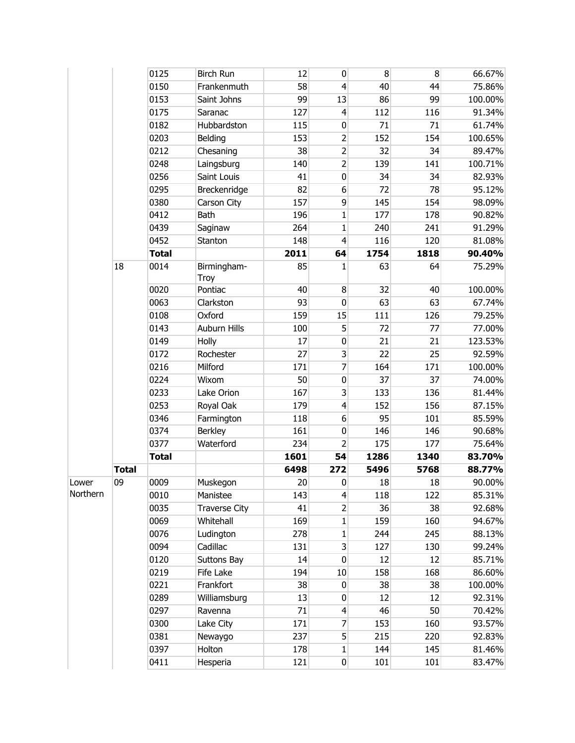|          |              | 0125         | <b>Birch Run</b>     | 12   | $\mathbf 0$             | 8    | 8    | 66.67%  |
|----------|--------------|--------------|----------------------|------|-------------------------|------|------|---------|
|          |              | 0150         | Frankenmuth          | 58   | $\overline{\mathbf{4}}$ | 40   | 44   | 75.86%  |
|          |              | 0153         | Saint Johns          | 99   | 13                      | 86   | 99   | 100.00% |
|          |              | 0175         | Saranac              | 127  | $\overline{\mathbf{4}}$ | 112  | 116  | 91.34%  |
|          |              | 0182         | Hubbardston          | 115  | $\pmb{0}$               | 71   | 71   | 61.74%  |
|          |              | 0203         | Belding              | 153  | $\overline{c}$          | 152  | 154  | 100.65% |
|          |              | 0212         | Chesaning            | 38   | $\overline{2}$          | 32   | 34   | 89.47%  |
|          |              | 0248         | Laingsburg           | 140  | $\overline{2}$          | 139  | 141  | 100.71% |
|          |              | 0256         | Saint Louis          | 41   | $\pmb{0}$               | 34   | 34   | 82.93%  |
|          |              | 0295         | Breckenridge         | 82   | 6                       | 72   | 78   | 95.12%  |
|          |              | 0380         | Carson City          | 157  | 9                       | 145  | 154  | 98.09%  |
|          |              | 0412         | Bath                 | 196  | 1                       | 177  | 178  | 90.82%  |
|          |              | 0439         | Saginaw              | 264  | $\mathbf{1}$            | 240  | 241  | 91.29%  |
|          |              | 0452         | Stanton              | 148  | $\overline{\mathbf{4}}$ | 116  | 120  | 81.08%  |
|          |              | <b>Total</b> |                      | 2011 | 64                      | 1754 | 1818 | 90.40%  |
|          | 18           | 0014         | Birmingham-<br>Troy  | 85   | 1                       | 63   | 64   | 75.29%  |
|          |              | 0020         | Pontiac              | 40   | 8                       | 32   | 40   | 100.00% |
|          |              | 0063         | Clarkston            | 93   | $\pmb{0}$               | 63   | 63   | 67.74%  |
|          |              | 0108         | Oxford               | 159  | 15                      | 111  | 126  | 79.25%  |
|          |              | 0143         | Auburn Hills         | 100  | 5                       | 72   | 77   | 77.00%  |
|          |              | 0149         | Holly                | 17   | $\overline{0}$          | 21   | 21   | 123.53% |
|          |              | 0172         | Rochester            | 27   | 3                       | 22   | 25   | 92.59%  |
|          |              | 0216         | Milford              | 171  | $\overline{7}$          | 164  | 171  | 100.00% |
|          |              | 0224         | Wixom                | 50   | $\pmb{0}$               | 37   | 37   | 74.00%  |
|          |              | 0233         | Lake Orion           | 167  | $\overline{\mathbf{3}}$ | 133  | 136  | 81.44%  |
|          |              | 0253         | Royal Oak            | 179  | $\overline{\mathbf{4}}$ | 152  | 156  | 87.15%  |
|          |              | 0346         | Farmington           | 118  | $6\,$                   | 95   | 101  | 85.59%  |
|          |              | 0374         | <b>Berkley</b>       | 161  | $\pmb{0}$               | 146  | 146  | 90.68%  |
|          |              | 0377         | Waterford            | 234  | 2                       | 175  | 177  | 75.64%  |
|          |              | <b>Total</b> |                      | 1601 | 54                      | 1286 | 1340 | 83.70%  |
|          | <b>Total</b> |              |                      | 6498 | 272                     | 5496 | 5768 | 88.77%  |
| Lower    | 09           | 0009         | Muskegon             | 20   | 0                       | 18   | 18   | 90.00%  |
| Northern |              | 0010         | Manistee             | 143  | $\overline{4}$          | 118  | 122  | 85.31%  |
|          |              | 0035         | <b>Traverse City</b> | 41   | $\overline{2}$          | 36   | 38   | 92.68%  |
|          |              | 0069         | Whitehall            | 169  | $\mathbf 1$             | 159  | 160  | 94.67%  |
|          |              | 0076         | Ludington            | 278  | 1                       | 244  | 245  | 88.13%  |
|          |              | 0094         | Cadillac             | 131  | $\overline{\mathbf{3}}$ | 127  | 130  | 99.24%  |
|          |              | 0120         | Suttons Bay          | 14   | $\mathbf 0$             | 12   | 12   | 85.71%  |
|          |              | 0219         | Fife Lake            | 194  | 10                      | 158  | 168  | 86.60%  |
|          |              | 0221         | Frankfort            | 38   | $\bf{0}$                | 38   | 38   | 100.00% |
|          |              | 0289         | Williamsburg         | 13   | $\pmb{0}$               | 12   | 12   | 92.31%  |
|          |              | 0297         | Ravenna              | 71   | $\overline{\mathbf{r}}$ | 46   | 50   | 70.42%  |
|          |              | 0300         | Lake City            | 171  | $\overline{7}$          | 153  | 160  | 93.57%  |
|          |              | 0381         | Newaygo              | 237  | 5                       | 215  | 220  | 92.83%  |
|          |              | 0397         | Holton               | 178  | 1                       | 144  | 145  | 81.46%  |
|          |              | 0411         | Hesperia             | 121  | $\boldsymbol{0}$        | 101  | 101  | 83.47%  |
|          |              |              |                      |      |                         |      |      |         |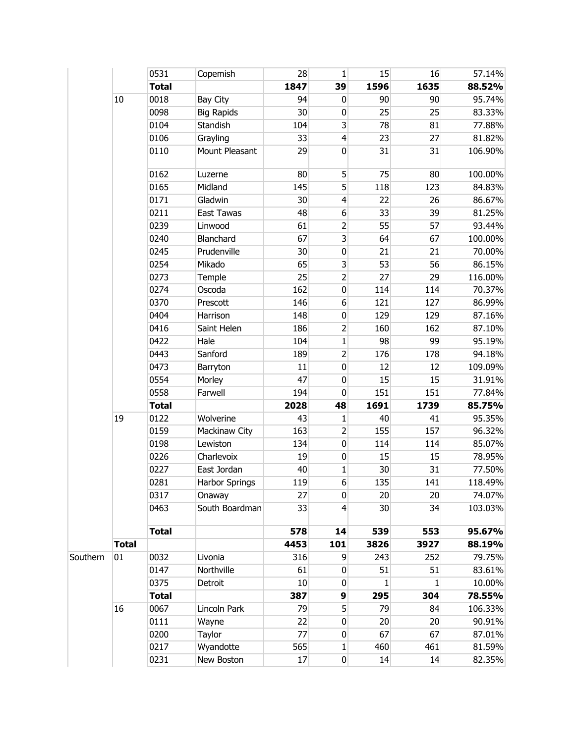|          |              | 0531         | Copemish              | 28              | $\mathbf{1}$            | 15              | 16          | 57.14%  |
|----------|--------------|--------------|-----------------------|-----------------|-------------------------|-----------------|-------------|---------|
|          |              | <b>Total</b> |                       | 1847            | 39                      | 1596            | 1635        | 88.52%  |
|          | 10           | 0018         | Bay City              | 94              | $\mathbf 0$             | 90              | 90          | 95.74%  |
|          |              | 0098         | <b>Big Rapids</b>     | 30              | $\pmb{0}$               | 25              | 25          | 83.33%  |
|          |              | 0104         | Standish              | 104             | 3                       | 78              | 81          | 77.88%  |
|          |              | 0106         | Grayling              | 33              | $\vert 4 \vert$         | 23              | 27          | 81.82%  |
|          |              | 0110         | Mount Pleasant        | 29              | $\mathbf 0$             | 31              | 31          | 106.90% |
|          |              | 0162         | Luzerne               | 80              | 5                       | 75              | 80          | 100.00% |
|          |              | 0165         | Midland               | 145             | 5                       | 118             | 123         | 84.83%  |
|          |              | 0171         | Gladwin               | 30              | $\overline{4}$          | 22              | 26          | 86.67%  |
|          |              | 0211         | East Tawas            | 48              | $\sqrt{6}$              | 33              | 39          | 81.25%  |
|          |              | 0239         | Linwood               | 61              | 2                       | 55              | 57          | 93.44%  |
|          |              | 0240         | Blanchard             | 67              | $\overline{\mathbf{3}}$ | 64              | 67          | 100.00% |
|          |              | 0245         | Prudenville           | 30 <sup>°</sup> | $\pmb{0}$               | 21              | 21          | 70.00%  |
|          |              | 0254         | Mikado                | 65              | $\overline{\mathbf{3}}$ | 53              | 56          | 86.15%  |
|          |              | 0273         | Temple                | 25              | $\overline{c}$          | 27              | 29          | 116.00% |
|          |              | 0274         | Oscoda                | 162             | $\pmb{0}$               | 114             | 114         | 70.37%  |
|          |              | 0370         | Prescott              | 146             | $\boldsymbol{6}$        | 121             | 127         | 86.99%  |
|          |              | 0404         | Harrison              | 148             | $\pmb{0}$               | 129             | 129         | 87.16%  |
|          |              | 0416         | Saint Helen           | 186             | $\overline{2}$          | 160             | 162         | 87.10%  |
|          |              | 0422         | Hale                  | 104             | $\mathbf{1}$            | 98              | 99          | 95.19%  |
|          |              | 0443         | Sanford               | 189             | $\overline{c}$          | 176             | 178         | 94.18%  |
|          |              | 0473         | Barryton              | 11              | $\pmb{0}$               | 12              | 12          | 109.09% |
|          |              | 0554         | Morley                | 47              | $\pmb{0}$               | 15              | 15          | 31.91%  |
|          |              | 0558         | Farwell               | 194             | $\mathbf 0$             | 151             | 151         | 77.84%  |
|          |              | <b>Total</b> |                       | 2028            | 48                      | 1691            | 1739        | 85.75%  |
|          | 19           | 0122         | Wolverine             | 43              | 1                       | 40              | 41          | 95.35%  |
|          |              | 0159         | Mackinaw City         | 163             | $\overline{c}$          | 155             | 157         | 96.32%  |
|          |              | 0198         | Lewiston              | 134             | $\overline{0}$          | 114             | 114         | 85.07%  |
|          |              | 0226         | Charlevoix            | 19              | $\pmb{0}$               | 15              | 15          | 78.95%  |
|          |              | 0227         | East Jordan           | 40              | 1                       | 30              | 31          | 77.50%  |
|          |              | 0281         | <b>Harbor Springs</b> | 119             | $6 \overline{6}$        | 135             | 141         | 118.49% |
|          |              | 0317         | Onaway                | 27              | $\overline{0}$          | 20 <sup>°</sup> | 20          | 74.07%  |
|          |              | 0463         | South Boardman        | 33              | $\overline{4}$          | 30              | 34          | 103.03% |
|          |              | <b>Total</b> |                       | 578             | 14                      | 539             | 553         | 95.67%  |
|          | <b>Total</b> |              |                       | 4453            | 101                     | 3826            | 3927        | 88.19%  |
| Southern | 01           | 0032         | Livonia               | 316             | 9                       | 243             | 252         | 79.75%  |
|          |              | 0147         | Northville            | 61              | $\mathbf 0$             | 51              | 51          | 83.61%  |
|          |              | 0375         | Detroit               | 10              | $\mathbf 0$             | 1               | $\mathbf 1$ | 10.00%  |
|          |              | <b>Total</b> |                       | 387             | 9                       | 295             | 304         | 78.55%  |
|          | 16           | 0067         | Lincoln Park          | 79              | 5                       | 79              | 84          | 106.33% |
|          |              | 0111         | Wayne                 | 22              | $\mathbf 0$             | 20              | 20          | 90.91%  |
|          |              | 0200         | Taylor                | 77              | $\bf{0}$                | 67              | 67          | 87.01%  |
|          |              | 0217         | Wyandotte             | 565             | 1                       | 460             | 461         | 81.59%  |
|          |              | 0231         | New Boston            | 17              | $\overline{0}$          | 14              | 14          | 82.35%  |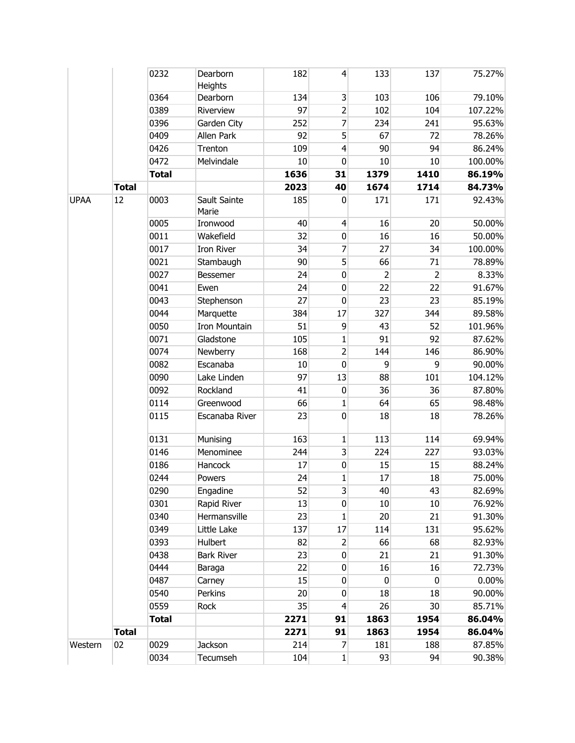|             |              | 0232         | Dearborn<br>Heights   | 182  | $\vert 4 \vert$         | 133            | 137            | 75.27%  |
|-------------|--------------|--------------|-----------------------|------|-------------------------|----------------|----------------|---------|
|             |              | 0364         | Dearborn              | 134  | $\overline{\mathbf{3}}$ | 103            | 106            | 79.10%  |
|             |              | 0389         | Riverview             | 97   | $\overline{2}$          | 102            | 104            | 107.22% |
|             |              | 0396         | Garden City           | 252  | 7                       | 234            | 241            | 95.63%  |
|             |              | 0409         | Allen Park            | 92   | 5                       | 67             | 72             | 78.26%  |
|             |              | 0426         | Trenton               | 109  | $\overline{4}$          | 90             | 94             | 86.24%  |
|             |              | 0472         | Melvindale            | 10   | 0                       | 10             | 10             | 100.00% |
|             |              | <b>Total</b> |                       | 1636 | 31                      | 1379           | 1410           | 86.19%  |
|             | <b>Total</b> |              |                       | 2023 | 40                      | 1674           | 1714           | 84.73%  |
| <b>UPAA</b> | 12           | 0003         | Sault Sainte<br>Marie | 185  | 0                       | 171            | 171            | 92.43%  |
|             |              | 0005         | Ironwood              | 40   | $\overline{4}$          | 16             | 20             | 50.00%  |
|             |              | 0011         | Wakefield             | 32   | $\pmb{0}$               | 16             | 16             | 50.00%  |
|             |              | 0017         | <b>Iron River</b>     | 34   | $\overline{7}$          | 27             | 34             | 100.00% |
|             |              | 0021         | Stambaugh             | 90   | 5                       | 66             | 71             | 78.89%  |
|             |              | 0027         | Bessemer              | 24   | $\pmb{0}$               | $\overline{2}$ | $\overline{2}$ | 8.33%   |
|             |              | 0041         | Ewen                  | 24   | 0                       | 22             | 22             | 91.67%  |
|             |              | 0043         | Stephenson            | 27   | $\mathbf 0$             | 23             | 23             | 85.19%  |
|             |              | 0044         | Marquette             | 384  | 17                      | 327            | 344            | 89.58%  |
|             |              | 0050         | <b>Iron Mountain</b>  | 51   | $\overline{9}$          | 43             | 52             | 101.96% |
|             |              | 0071         | Gladstone             | 105  | 1                       | 91             | 92             | 87.62%  |
|             |              | 0074         | Newberry              | 168  | $\overline{2}$          | 144            | 146            | 86.90%  |
|             |              | 0082         | Escanaba              | 10   | $\mathbf 0$             | 9              | 9              | 90.00%  |
|             |              | 0090         | Lake Linden           | 97   | 13                      | 88             | 101            | 104.12% |
|             |              | 0092         | Rockland              | 41   | $\pmb{0}$               | 36             | 36             | 87.80%  |
|             |              | 0114         | Greenwood             | 66   | 1                       | 64             | 65             | 98.48%  |
|             |              | 0115         | Escanaba River        | 23   | $\pmb{0}$               | 18             | 18             | 78.26%  |
|             |              | 0131         | Munising              | 163  | 1                       | 113            | 114            | 69.94%  |
|             |              | 0146         | Menominee             | 244  | $\overline{\mathbf{3}}$ | 224            | 227            | 93.03%  |
|             |              | 0186         | Hancock               | 17   | $\pmb{0}$               | 15             | 15             | 88.24%  |
|             |              | 0244         | Powers                | 24   | $\mathbf{1}$            | 17             | 18             | 75.00%  |
|             |              | 0290         | Engadine              | 52   | 3                       | 40             | 43             | 82.69%  |
|             |              | 0301         | Rapid River           | 13   | $\mathbf 0$             | 10             | 10             | 76.92%  |
|             |              | 0340         | Hermansville          | 23   | $\mathbf{1}$            | 20             | 21             | 91.30%  |
|             |              | 0349         | Little Lake           | 137  | 17                      | 114            | 131            | 95.62%  |
|             |              | 0393         | Hulbert               | 82   | $\overline{2}$          | 66             | 68             | 82.93%  |
|             |              | 0438         | <b>Bark River</b>     | 23   | $\mathbf 0$             | 21             | 21             | 91.30%  |
|             |              | 0444         | Baraga                | 22   | $\pmb{0}$               | 16             | 16             | 72.73%  |
|             |              | 0487         | Carney                | 15   | 0                       | $\mathbf 0$    | 0              | 0.00%   |
|             |              | 0540         | Perkins               | 20   | $\mathbf 0$             | 18             | 18             | 90.00%  |
|             |              | 0559         | Rock                  | 35   | $\overline{4}$          | 26             | 30             | 85.71%  |
|             |              | <b>Total</b> |                       | 2271 | 91                      | 1863           | 1954           | 86.04%  |
|             | <b>Total</b> |              |                       | 2271 | 91                      | 1863           | 1954           | 86.04%  |
| Western     | 02           | 0029         | Jackson               | 214  | 7                       | 181            | 188            | 87.85%  |
|             |              | 0034         | Tecumseh              | 104  | $1\vert$                | 93             | 94             | 90.38%  |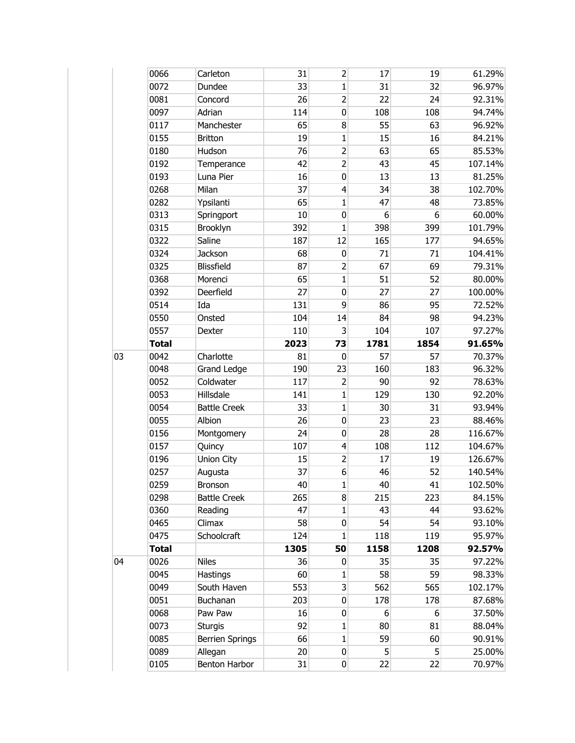|    | 0066         | Carleton               | 31   | $\overline{2}$ | 17             | 19   | 61.29%  |
|----|--------------|------------------------|------|----------------|----------------|------|---------|
|    | 0072         | Dundee                 | 33   | 1              | 31             | 32   | 96.97%  |
|    | 0081         | Concord                | 26   | $\overline{2}$ | 22             | 24   | 92.31%  |
|    | 0097         | Adrian                 | 114  | 0              | 108            | 108  | 94.74%  |
|    | 0117         | Manchester             | 65   | 8              | 55             | 63   | 96.92%  |
|    | 0155         | <b>Britton</b>         | 19   | 1              | 15             | 16   | 84.21%  |
|    | 0180         | Hudson                 | 76   | $\overline{2}$ | 63             | 65   | 85.53%  |
|    | 0192         | Temperance             | 42   | $\overline{2}$ | 43             | 45   | 107.14% |
|    | 0193         | Luna Pier              | 16   | 0              | 13             | 13   | 81.25%  |
|    | 0268         | Milan                  | 37   | 4              | 34             | 38   | 102.70% |
|    | 0282         | Ypsilanti              | 65   | $\mathbf{1}$   | 47             | 48   | 73.85%  |
|    | 0313         | Springport             | 10   | 0              | 6              | 6    | 60.00%  |
|    | 0315         | Brooklyn               | 392  | 1              | 398            | 399  | 101.79% |
|    | 0322         | Saline                 | 187  | 12             | 165            | 177  | 94.65%  |
|    | 0324         | Jackson                | 68   | 0              | 71             | 71   | 104.41% |
|    | 0325         | <b>Blissfield</b>      | 87   | $\overline{2}$ | 67             | 69   | 79.31%  |
|    | 0368         | Morenci                | 65   | $\mathbf{1}$   | 51             | 52   | 80.00%  |
|    | 0392         | Deerfield              | 27   | 0              | 27             | 27   | 100.00% |
|    | 0514         | Ida                    | 131  | 9              | 86             | 95   | 72.52%  |
|    | 0550         | Onsted                 | 104  | 14             | 84             | 98   | 94.23%  |
|    | 0557         | Dexter                 | 110  | 3              | 104            | 107  | 97.27%  |
|    | <b>Total</b> |                        | 2023 | 73             | 1781           | 1854 | 91.65%  |
| 03 | 0042         | Charlotte              | 81   | 0              | 57             | 57   | 70.37%  |
|    | 0048         | <b>Grand Ledge</b>     | 190  | 23             | 160            | 183  | 96.32%  |
|    | 0052         | Coldwater              | 117  | $\overline{2}$ | 90             | 92   | 78.63%  |
|    | 0053         | Hillsdale              | 141  | $\mathbf 1$    | 129            | 130  | 92.20%  |
|    | 0054         | <b>Battle Creek</b>    | 33   | 1              | 30             | 31   | 93.94%  |
|    | 0055         | Albion                 | 26   | $\pmb{0}$      | 23             | 23   | 88.46%  |
|    | 0156         | Montgomery             | 24   | 0              | 28             | 28   | 116.67% |
|    | 0157         | Quincy                 | 107  | 4              | 108            | 112  | 104.67% |
|    | 0196         | Union City             | 15   | $\overline{2}$ | 17             | 19   | 126.67% |
|    | 0257         | Augusta                | 37   | 6              | 46             | 52   | 140.54% |
|    | 0259         | Bronson                | 40   | $\mathbf{1}$   | 40             | 41   | 102.50% |
|    | 0298         | <b>Battle Creek</b>    | 265  | 8              | 215            | 223  | 84.15%  |
|    | 0360         | Reading                | 47   | $\mathbf{1}$   | 43             | 44   | 93.62%  |
|    | 0465         | Climax                 | 58   | 0              | 54             | 54   | 93.10%  |
|    | 0475         | Schoolcraft            | 124  | 1              | 118            | 119  | 95.97%  |
|    | <b>Total</b> |                        | 1305 | 50             | 1158           | 1208 | 92.57%  |
| 04 | 0026         | <b>Niles</b>           | 36   | 0              | 35             | 35   | 97.22%  |
|    | 0045         | Hastings               | 60   | 1              | 58             | 59   | 98.33%  |
|    | 0049         | South Haven            | 553  | $\overline{3}$ | 562            | 565  | 102.17% |
|    | 0051         | Buchanan               | 203  | 0              | 178            | 178  | 87.68%  |
|    | 0068         | Paw Paw                | 16   | 0              | 6              | 6    | 37.50%  |
|    | 0073         | <b>Sturgis</b>         | 92   | $\mathbf{1}$   | 80             | 81   | 88.04%  |
|    | 0085         | <b>Berrien Springs</b> | 66   | $\mathbf 1$    | 59             | 60   | 90.91%  |
|    | 0089         | Allegan                | 20   | $\pmb{0}$      | 5 <sup>1</sup> | 5    | 25.00%  |
|    | 0105         | Benton Harbor          | 31   | 0              | 22             | 22   | 70.97%  |
|    |              |                        |      |                |                |      |         |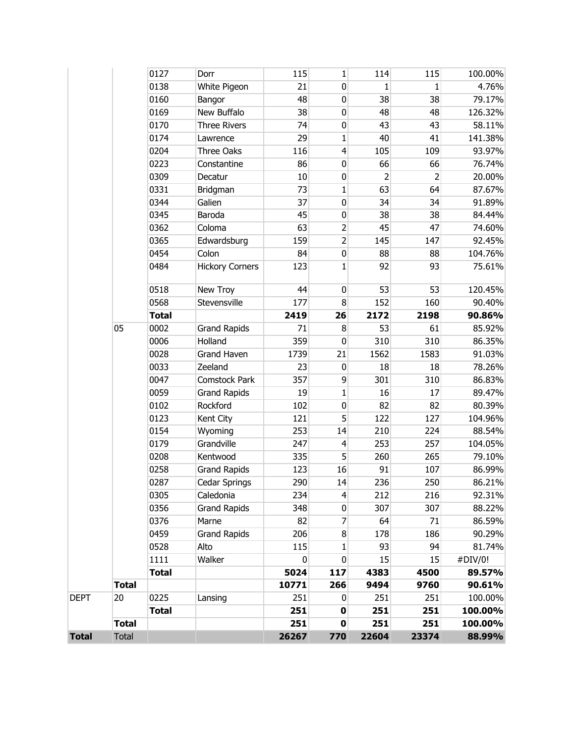|             | <b>Total</b> |              |                                 | 251       | $\pmb{0}$               | 251            | 251            | 100.00%           |
|-------------|--------------|--------------|---------------------------------|-----------|-------------------------|----------------|----------------|-------------------|
|             |              | <b>Total</b> |                                 | 251       | $\pmb{0}$               | 251            | 251            | 100.00%           |
| <b>DEPT</b> | 20           | 0225         | Lansing                         | 251       | 0                       | 251            | 251            | 100.00%           |
|             | <b>Total</b> |              |                                 | 10771     | 266                     | 9494           | 9760           | 90.61%            |
|             |              | <b>Total</b> |                                 | 5024      | 117                     | 4383           | 4500           | 89.57%            |
|             |              | 1111         | Walker                          | 0         | 0                       | 15             | 15             | #DIV/0!           |
|             |              | 0528         | Alto                            | 115       | 1                       | 93             | 94             | 81.74%            |
|             |              | 0459         | <b>Grand Rapids</b>             | 206       | 8                       | 178            | 186            | 90.29%            |
|             |              | 0376         | Marne                           | 82        | 7                       | 64             | 71             | 86.59%            |
|             |              | 0356         | <b>Grand Rapids</b>             | 348       | 0                       | 307            | 307            | 88.22%            |
|             |              | 0305         | Caledonia                       | 234       | $\overline{\mathbf{r}}$ | 212            | 216            | 92.31%            |
|             |              | 0287         | Cedar Springs                   | 290       | 14                      | 236            | 250            | 86.21%            |
|             |              | 0258         | <b>Grand Rapids</b>             | 123       | 16                      | 91             | 107            | 86.99%            |
|             |              | 0208         | Kentwood                        | 335       | 5                       | 260            | 265            | 79.10%            |
|             |              | 0179         | Grandville                      | 247       | $\overline{\mathbf{4}}$ | 253            | 257            | 104.05%           |
|             |              | 0154         | Wyoming                         | 253       | 14                      | 210            | 224            | 88.54%            |
|             |              | 0123         | Kent City                       | 121       | 5                       | 122            | 127            | 104.96%           |
|             |              | 0102         | Rockford                        | 102       | $\mathbf 0$             | 82             | 82             | 80.39%            |
|             |              | 0059         | <b>Grand Rapids</b>             | 19        | 1                       | 16             | 17             | 89.47%            |
|             |              | 0047         | Comstock Park                   | 357       | 9                       | 301            | 310            | 86.83%            |
|             |              | 0033         | Zeeland                         | 23        | $\mathbf 0$             | 18             | 18             | 78.26%            |
|             |              | 0028         | <b>Grand Haven</b>              | 1739      | 21                      | 1562           | 1583           | 91.03%            |
|             |              | 0006         | Holland                         | 359       | $\mathbf 0$             | 310            | 310            | 86.35%            |
|             | 05           | 0002         | <b>Grand Rapids</b>             | 71        | 8                       | 53             | 61             | 85.92%            |
|             |              | <b>Total</b> |                                 | 2419      | 26                      | 2172           | 2198           | 90.86%            |
|             |              | 0568         | Stevensville                    | 177       | $\bf 8$                 | 152            | 160            | 90.40%            |
|             |              | 0518         | New Troy                        | 44        | 0                       | 53             | 53             | 120.45%           |
|             |              |              |                                 |           |                         |                |                |                   |
|             |              | 0484         | Colon<br><b>Hickory Corners</b> | 123       | $\pmb{0}$<br>1          | 92             | 93             | 104.76%<br>75.61% |
|             |              | 0365<br>0454 | Edwardsburg                     | 159<br>84 | $\overline{c}$          | 145<br>88      | 147<br>88      | 92.45%            |
|             |              | 0362         | Coloma                          | 63        | $\overline{c}$          | 45             | 47             | 74.60%            |
|             |              | 0345         | Baroda                          | 45        | $\pmb{0}$               | 38             | 38             | 84.44%            |
|             |              | 0344         | Galien                          | 37        | 0                       | 34             | 34             | 91.89%            |
|             |              | 0331         | Bridgman                        | 73        | 1                       | 63             | 64             | 87.67%            |
|             |              | 0309         | Decatur                         | 10        | $\pmb{0}$               | $\overline{2}$ | $\overline{2}$ | 20.00%            |
|             |              | 0223         | Constantine                     | 86        | 0                       | 66             | 66             | 76.74%            |
|             |              | 0204         | Three Oaks                      | 116       | $\overline{\mathbf{4}}$ | 105            | 109            | 93.97%            |
|             |              | 0174         | Lawrence                        | 29        | $\mathbf 1$             | 40             | 41             | 141.38%           |
|             |              | 0170         | <b>Three Rivers</b>             | 74        | $\pmb{0}$               | 43             | 43             | 58.11%            |
|             |              | 0169         | New Buffalo                     | 38        | 0                       | 48             | 48             | 126.32%           |
|             |              | 0160         | Bangor                          | 48        | $\pmb{0}$               | 38             | 38             | 79.17%            |
|             |              | 0138         | White Pigeon                    | 21        | $\mathbf 0$             | 1              | 1              | 4.76%             |
|             |              | 0127         | Dorr                            | 115       | 1                       | 114            | 115            | 100.00%           |
|             |              |              |                                 |           |                         |                |                |                   |